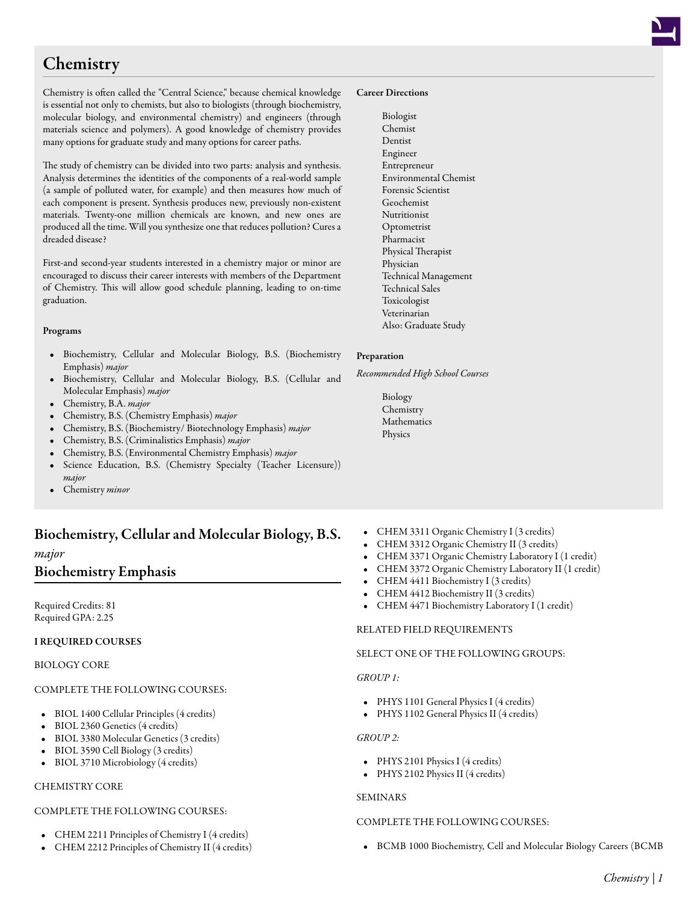# **Chemistry**

Chemistry is often called the "Central Science," because chemical knowledge is essential not only to chemists, but also to biologists (through biochemistry, molecular biology, and environmental chemistry) and engineers (through materials science and polymers). A good knowledge of chemistry provides many options for graduate study and many options for career paths.

The study of chemistry can be divided into two parts: analysis and synthesis. Analysis determines the identities of the components of a real-world sample (a sample of polluted water, for example) and then measures how much of each component is present. Synthesis produces new, previously non-existent materials. Twenty-one million chemicals are known, and new ones are produced all the time. Will you synthesize one that reduces pollution? Cures a dreaded disease?

First-and second-year students interested in a chemistry major or minor are encouraged to discuss their career interests with members of the Department of Chemistry. This will allow good schedule planning, leading to on-time graduation.

### Programs

- Biochemistry, Cellular and Molecular Biology, B.S. (Biochemistry Emphasis) *major*
- Biochemistry, Cellular and Molecular Biology, B.S. (Cellular and Molecular Emphasis) *major*
- Chemistry, B.A. *major*
- Chemistry, B.S. (Chemistry Emphasis) *major*
- Chemistry, B.S. (Biochemistry/ Biotechnology Emphasis) *major*
- Chemistry, B.S. (Criminalistics Emphasis) *major*
- Chemistry, B.S. (Environmental Chemistry Emphasis) *major*
- Science Education, B.S. (Chemistry Specialty (Teacher Licensure)) *major*
- Chemistry *minor*

# Biochemistry, Cellular and Molecular Biology, B.S.

# *major*

# Biochemistry Emphasis

Required Credits: 81 Required GPA: 2.25

# I REQUIRED COURSES

# BIOLOGY CORE

# COMPLETE THE FOLLOWING COURSES:

- BIOL 1400 [Cellular Principles](/academics/catalog/20223/courses/biol/1400) (4 credits)
- BIOL 2360 [Genetics](/academics/catalog/20223/courses/biol/2360) (4 credits)
- BIOL 3380 [Molecular Genetics](/academics/catalog/20223/courses/biol/3380) (3 credits)
- BIOL 3590 [Cell Biology](/academics/catalog/20223/courses/biol/3590) (3 credits)
- BIOL 3710 [Microbiology](/academics/catalog/20223/courses/biol/3710) (4 credits)

# CHEMISTRY CORE

# COMPLETE THE FOLLOWING COURSES:

- CHEM 2211 [Principles of Chemistry I](/academics/catalog/20223/courses/chem/2211) (4 credits)
- CHEM 2212 [Principles of Chemistry II](/academics/catalog/20223/courses/chem/2212) (4 credits)

#### Career Directions

Biologist Chemist Dentist Engineer Entrepreneur Environmental Chemist Forensic Scientist Geochemist Nutritionist Optometrist Pharmacist Physical Therapist Physician Technical Management Technical Sales Toxicologist Veterinarian Also: Graduate Study

#### Preparation

*Recommended High School Courses*

- Biology Chemistry Mathematics Physics
- CHEM 3311 [Organic Chemistry I](/academics/catalog/20223/courses/chem/3311) (3 credits)
- CHEM 3312 [Organic Chemistry II](/academics/catalog/20223/courses/chem/3312) (3 credits)
- CHEM 3371 [Organic Chemistry Laboratory I](/academics/catalog/20223/courses/chem/3371) (1 credit)
- CHEM 3372 [Organic Chemistry Laboratory II](/academics/catalog/20223/courses/chem/3372) (1 credit)
- CHEM 4411 [Biochemistry I](/academics/catalog/20223/courses/chem/4411) (3 credits)
- CHEM 4412 [Biochemistry II](/academics/catalog/20223/courses/chem/4412) (3 credits)
- CHEM 4471 [Biochemistry Laboratory I](/academics/catalog/20223/courses/chem/4471) (1 credit)

# RELATED FIELD REQUIREMENTS

#### SELECT ONE OF THE FOLLOWING GROUPS:

# *GROUP 1:*

- PHYS 1101 [General Physics I](/academics/catalog/20223/courses/phys/1101) (4 credits)
- PHYS 1102 [General Physics II](/academics/catalog/20223/courses/phys/1102) (4 credits)

#### *GROUP 2:*

- PHYS 2101 [Physics I](/academics/catalog/20223/courses/phys/2101) (4 credits)
- PHYS 2102 [Physics II](/academics/catalog/20223/courses/phys/2102) (4 credits)

#### SEMINARS

### COMPLETE THE FOLLOWING COURSES:

• BCMB 1000 [Biochemistry, Cell and Molecular Biology Careers \(BCMB](/academics/catalog/20223/courses/bcmb/1000)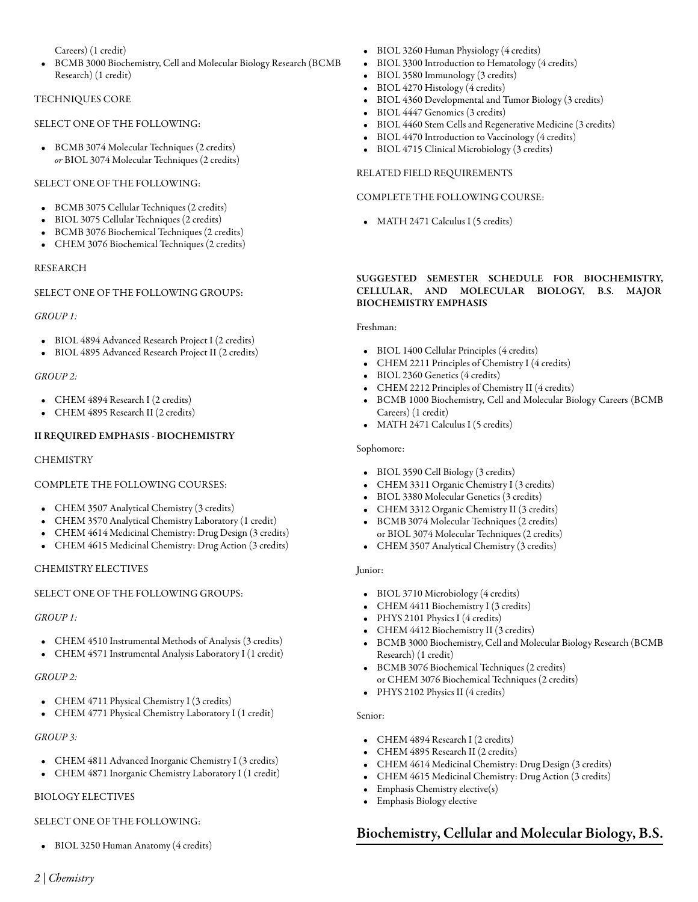[Careers\)](/academics/catalog/20223/courses/bcmb/1000) (1 credit)

• BCMB 3000 [Biochemistry, Cell and Molecular Biology Research \(BCMB](/academics/catalog/20223/courses/bcmb/3000) [Research\)](/academics/catalog/20223/courses/bcmb/3000) (1 credit)

# TECHNIQUES CORE

# SELECT ONE OF THE FOLLOWING:

• BCMB 3074 [Molecular Techniques](/academics/catalog/20223/courses/bcmb/3074) (2 credits) *or* BIOL 3074 [Molecular Techniques](/academics/catalog/20223/courses/biol/3074) (2 credits)

# SELECT ONE OF THE FOLLOWING:

- BCMB 3075 [Cellular Techniques](/academics/catalog/20223/courses/bcmb/3075) (2 credits)
- BIOL 3075 [Cellular Techniques](/academics/catalog/20223/courses/biol/3075) (2 credits)
- BCMB 3076 [Biochemical Techniques](/academics/catalog/20223/courses/bcmb/3076) (2 credits)
- CHEM 3076 [Biochemical Techniques](/academics/catalog/20223/courses/chem/3076) (2 credits)

### RESEARCH

# SELECT ONE OF THE FOLLOWING GROUPS:

# *GROUP 1:*

- BIOL 4894 [Advanced Research Project I](/academics/catalog/20223/courses/biol/4894) (2 credits)
- BIOL 4895 [Advanced Research Project II](/academics/catalog/20223/courses/biol/4895) (2 credits)

# *GROUP 2:*

- CHEM 4894 [Research I](/academics/catalog/20223/courses/chem/4894) (2 credits)
- CHEM 4895 [Research II](/academics/catalog/20223/courses/chem/4895) (2 credits)

# II REQUIRED EMPHASIS - BIOCHEMISTRY

# **CHEMISTRY**

# COMPLETE THE FOLLOWING COURSES:

- CHEM 3507 [Analytical Chemistry](/academics/catalog/20223/courses/chem/3507) (3 credits)
- CHEM 3570 [Analytical Chemistry Laboratory](/academics/catalog/20223/courses/chem/3570) (1 credit)
- CHEM 4614 [Medicinal Chemistry: Drug Design](/academics/catalog/20223/courses/chem/4614) (3 credits)
- CHEM 4615 [Medicinal Chemistry: Drug Action](/academics/catalog/20223/courses/chem/4615) (3 credits)

# CHEMISTRY ELECTIVES

# SELECT ONE OF THE FOLLOWING GROUPS:

# *GROUP 1:*

- CHEM 4510 [Instrumental Methods of Analysis](/academics/catalog/20223/courses/chem/4510) (3 credits)
- CHEM 4571 [Instrumental Analysis Laboratory I](/academics/catalog/20223/courses/chem/4571) (1 credit)

# *GROUP 2:*

- CHEM 4711 [Physical Chemistry I](/academics/catalog/20223/courses/chem/4711) (3 credits)
- CHEM 4771 [Physical Chemistry Laboratory I](/academics/catalog/20223/courses/chem/4771) (1 credit)

# *GROUP 3:*

- CHEM 4811 [Advanced Inorganic Chemistry I](/academics/catalog/20223/courses/chem/4811) (3 credits)
- CHEM 4871 [Inorganic Chemistry Laboratory I](/academics/catalog/20223/courses/chem/4871) (1 credit)

# BIOLOGY ELECTIVES

# SELECT ONE OF THE FOLLOWING:

• BIOL 3250 [Human Anatomy](/academics/catalog/20223/courses/biol/3250) (4 credits)

- BIOL 3260 [Human Physiology](/academics/catalog/20223/courses/biol/3260) (4 credits)
- BIOL 3300 [Introduction to Hematology](/academics/catalog/20223/courses/biol/3300) (4 credits)
- BIOL 3580 [Immunology](/academics/catalog/20223/courses/biol/3580) (3 credits)
- BIOL 4270 [Histology](/academics/catalog/20223/courses/biol/4270) (4 credits)
- BIOL 4360 [Developmental and Tumor Biology](/academics/catalog/20223/courses/biol/4360) (3 credits)
- BIOL 4447 [Genomics](/academics/catalog/20223/courses/biol/4447) (3 credits)
- BIOL 4460 [Stem Cells and Regenerative Medicine](/academics/catalog/20223/courses/biol/4460) (3 credits)
- BIOL 4470 [Introduction to Vaccinology](/academics/catalog/20223/courses/biol/4470) (4 credits)
- BIOL 4715 [Clinical Microbiology](/academics/catalog/20223/courses/biol/4715) (3 credits)

# RELATED FIELD REQUIREMENTS

### COMPLETE THE FOLLOWING COURSE:

• MATH 2471 [Calculus I](/academics/catalog/20223/courses/math/2471) (5 credits)

## SUGGESTED SEMESTER SCHEDULE FOR BIOCHEMISTRY, CELLULAR, AND MOLECULAR BIOLOGY, B.S. MAJOR BIOCHEMISTRY EMPHASIS

Freshman:

- BIOL 1400 [Cellular Principles](/academics/catalog/20223/courses/biol/1400) (4 credits)
- CHEM 2211 [Principles of Chemistry I](/academics/catalog/20223/courses/chem/2211) (4 credits)
- BIOL 2360 [Genetics](/academics/catalog/20223/courses/biol/2360) (4 credits)
- CHEM 2212 [Principles of Chemistry II](/academics/catalog/20223/courses/chem/2212) (4 credits)
- BCMB 1000 [Biochemistry, Cell and Molecular Biology Careers \(BCMB](/academics/catalog/20223/courses/bcmb/1000) [Careers\)](/academics/catalog/20223/courses/bcmb/1000) (1 credit)
- MATH 2471 [Calculus I](/academics/catalog/20223/courses/math/2471) (5 credits)

## Sophomore:

- BIOL 3590 [Cell Biology](/academics/catalog/20223/courses/biol/3590) (3 credits)
- CHEM 3311 [Organic Chemistry I](/academics/catalog/20223/courses/chem/3311) (3 credits)
- BIOL 3380 [Molecular Genetics](/academics/catalog/20223/courses/biol/3380) (3 credits)
- CHEM 3312 [Organic Chemistry II](/academics/catalog/20223/courses/chem/3312) (3 credits)
- BCMB 3074 [Molecular Techniques](/academics/catalog/20223/courses/bcmb/3074) (2 credits) or BIOL 3074 [Molecular Techniques](/academics/catalog/20223/courses/biol/3074) (2 credits)
- CHEM 3507 [Analytical Chemistry](/academics/catalog/20223/courses/chem/3507) (3 credits)

# Junior:

- BIOL 3710 [Microbiology](/academics/catalog/20223/courses/biol/3710) (4 credits)
- CHEM 4411 [Biochemistry I](/academics/catalog/20223/courses/chem/4411) (3 credits)
- PHYS 2101 [Physics I](/academics/catalog/20223/courses/phys/2101) (4 credits)
- CHEM 4412 [Biochemistry II](/academics/catalog/20223/courses/chem/4412) (3 credits)
- BCMB 3000 [Biochemistry, Cell and Molecular Biology Research \(BCMB](/academics/catalog/20223/courses/bcmb/3000) [Research\)](/academics/catalog/20223/courses/bcmb/3000) (1 credit)
- BCMB 3076 [Biochemical Techniques](/academics/catalog/20223/courses/bcmb/3076) (2 credits) or CHEM 3076 [Biochemical Techniques](/academics/catalog/20223/courses/chem/3076) (2 credits)
- PHYS 2102 [Physics II](/academics/catalog/20223/courses/phys/2102) (4 credits)

## Senior:

- CHEM 4894 [Research I](/academics/catalog/20223/courses/chem/4894) (2 credits)
- CHEM 4895 [Research II](/academics/catalog/20223/courses/chem/4895) (2 credits)
- CHEM 4614 [Medicinal Chemistry: Drug Design](/academics/catalog/20223/courses/chem/4614) (3 credits)
- CHEM 4615 [Medicinal Chemistry: Drug Action](/academics/catalog/20223/courses/chem/4615) (3 credits)
- Emphasis Chemistry elective(s)
- Emphasis Biology elective

# Biochemistry, Cellular and Molecular Biology, B.S.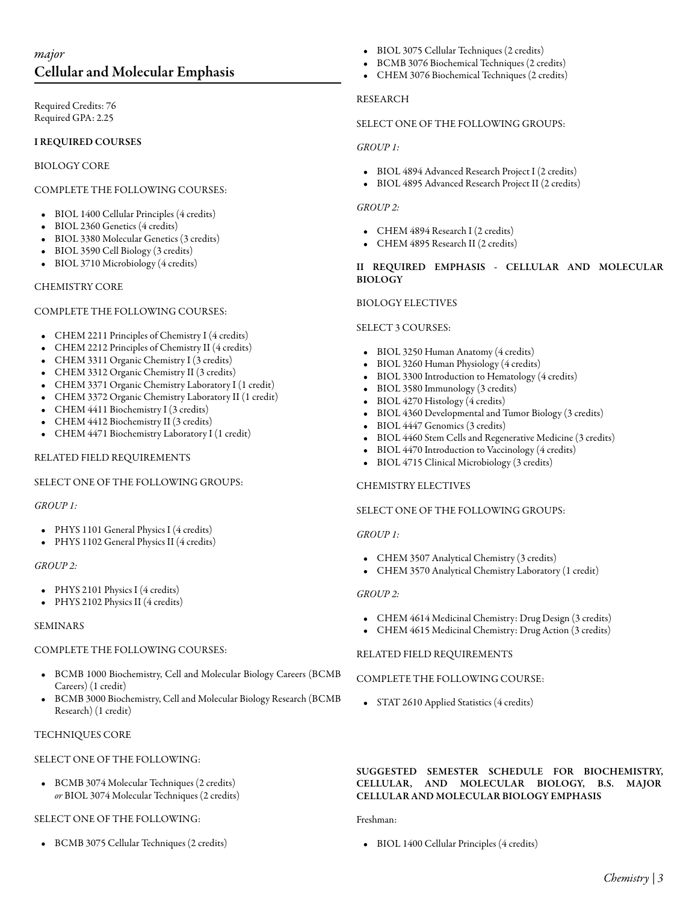# *major* Cellular and Molecular Emphasis

Required Credits: 76 Required GPA: 2.25

# I REQUIRED COURSES

BIOLOGY CORE

# COMPLETE THE FOLLOWING COURSES:

- BIOL 1400 [Cellular Principles](/academics/catalog/20223/courses/biol/1400) (4 credits)
- BIOL 2360 [Genetics](/academics/catalog/20223/courses/biol/2360) (4 credits)
- BIOL 3380 [Molecular Genetics](/academics/catalog/20223/courses/biol/3380) (3 credits)
- BIOL 3590 [Cell Biology](/academics/catalog/20223/courses/biol/3590) (3 credits)
- BIOL 3710 [Microbiology](/academics/catalog/20223/courses/biol/3710) (4 credits)

### CHEMISTRY CORE

### COMPLETE THE FOLLOWING COURSES:

- CHEM 2211 [Principles of Chemistry I](/academics/catalog/20223/courses/chem/2211) (4 credits)
- CHEM 2212 [Principles of Chemistry II](/academics/catalog/20223/courses/chem/2212) (4 credits)
- CHEM 3311 [Organic Chemistry I](/academics/catalog/20223/courses/chem/3311) (3 credits)
- 
- CHEM 3312 [Organic Chemistry II](/academics/catalog/20223/courses/chem/3312) (3 credits)
- CHEM 3371 [Organic Chemistry Laboratory I](/academics/catalog/20223/courses/chem/3371) (1 credit)
- CHEM 3372 [Organic Chemistry Laboratory II](/academics/catalog/20223/courses/chem/3372) (1 credit)
- CHEM 4411 [Biochemistry I](/academics/catalog/20223/courses/chem/4411) (3 credits)
- CHEM 4412 [Biochemistry II](/academics/catalog/20223/courses/chem/4412) (3 credits)
- CHEM 4471 [Biochemistry Laboratory I](/academics/catalog/20223/courses/chem/4471) (1 credit)

# RELATED FIELD REQUIREMENTS

# SELECT ONE OF THE FOLLOWING GROUPS:

# *GROUP 1:*

- PHYS 1101 [General Physics I](/academics/catalog/20223/courses/phys/1101) (4 credits)
- PHYS 1102 [General Physics II](/academics/catalog/20223/courses/phys/1102) (4 credits)

#### *GROUP 2:*

- PHYS 2101 [Physics I](/academics/catalog/20223/courses/phys/2101) (4 credits)
- PHYS 2102 [Physics II](/academics/catalog/20223/courses/phys/2102) (4 credits)

#### SEMINARS

# COMPLETE THE FOLLOWING COURSES:

- BCMB 1000 [Biochemistry, Cell and Molecular Biology Careers \(BCMB](/academics/catalog/20223/courses/bcmb/1000) [Careers\)](/academics/catalog/20223/courses/bcmb/1000) (1 credit)
- BCMB 3000 [Biochemistry, Cell and Molecular Biology Research \(BCMB](/academics/catalog/20223/courses/bcmb/3000) [Research\)](/academics/catalog/20223/courses/bcmb/3000) (1 credit)

# TECHNIQUES CORE

# SELECT ONE OF THE FOLLOWING:

• BCMB 3074 [Molecular Techniques](/academics/catalog/20223/courses/bcmb/3074) (2 credits) *or* BIOL 3074 [Molecular Techniques](/academics/catalog/20223/courses/biol/3074) (2 credits)

# SELECT ONE OF THE FOLLOWING:

• BCMB 3075 [Cellular Techniques](/academics/catalog/20223/courses/bcmb/3075) (2 credits)

- BIOL 3075 [Cellular Techniques](/academics/catalog/20223/courses/biol/3075) (2 credits)
- BCMB 3076 [Biochemical Techniques](/academics/catalog/20223/courses/bcmb/3076) (2 credits)
- CHEM 3076 [Biochemical Techniques](/academics/catalog/20223/courses/chem/3076) (2 credits)

## RESEARCH

## SELECT ONE OF THE FOLLOWING GROUPS:

### *GROUP 1:*

- BIOL 4894 [Advanced Research Project I](/academics/catalog/20223/courses/biol/4894) (2 credits)
- BIOL 4895 [Advanced Research Project II](/academics/catalog/20223/courses/biol/4895) (2 credits)

# *GROUP 2:*

- CHEM 4894 [Research I](/academics/catalog/20223/courses/chem/4894) (2 credits)
- CHEM 4895 [Research II](/academics/catalog/20223/courses/chem/4895) (2 credits)

## II REQUIRED EMPHASIS - CELLULAR AND MOLECULAR BIOLOGY

### BIOLOGY ELECTIVES

### SELECT 3 COURSES:

- BIOL 3250 [Human Anatomy](/academics/catalog/20223/courses/biol/3250) (4 credits)
- BIOL 3260 [Human Physiology](/academics/catalog/20223/courses/biol/3260) (4 credits)
- BIOL 3300 [Introduction to Hematology](/academics/catalog/20223/courses/biol/3300) (4 credits)
- BIOL 3580 [Immunology](/academics/catalog/20223/courses/biol/3580) (3 credits)
- BIOL 4270 [Histology](/academics/catalog/20223/courses/biol/4270) (4 credits)
- BIOL 4360 [Developmental and Tumor Biology](/academics/catalog/20223/courses/biol/4360) (3 credits)
- BIOL 4447 [Genomics](/academics/catalog/20223/courses/biol/4447) (3 credits)
- BIOL 4460 [Stem Cells and Regenerative Medicine](/academics/catalog/20223/courses/biol/4460) (3 credits)
- BIOL 4470 [Introduction to Vaccinology](/academics/catalog/20223/courses/biol/4470) (4 credits)
- BIOL 4715 [Clinical Microbiology](/academics/catalog/20223/courses/biol/4715) (3 credits)

#### CHEMISTRY ELECTIVES

#### SELECT ONE OF THE FOLLOWING GROUPS:

#### *GROUP 1:*

- CHEM 3507 [Analytical Chemistry](/academics/catalog/20223/courses/chem/3507) (3 credits)
- CHEM 3570 [Analytical Chemistry Laboratory](/academics/catalog/20223/courses/chem/3570) (1 credit)

# *GROUP 2:*

- CHEM 4614 [Medicinal Chemistry: Drug Design](/academics/catalog/20223/courses/chem/4614) (3 credits)
- CHEM 4615 [Medicinal Chemistry: Drug Action](/academics/catalog/20223/courses/chem/4615) (3 credits)

#### RELATED FIELD REQUIREMENTS

#### COMPLETE THE FOLLOWING COURSE:

• STAT 2610 [Applied Statistics](/academics/catalog/20223/courses/stat/2610) (4 credits)

## SUGGESTED SEMESTER SCHEDULE FOR BIOCHEMISTRY, CELLULAR, AND MOLECULAR BIOLOGY, B.S. MAJOR CELLULAR AND MOLECULAR BIOLOGY EMPHASIS

#### Freshman:

• BIOL 1400 [Cellular Principles](/academics/catalog/20223/courses/biol/1400) (4 credits)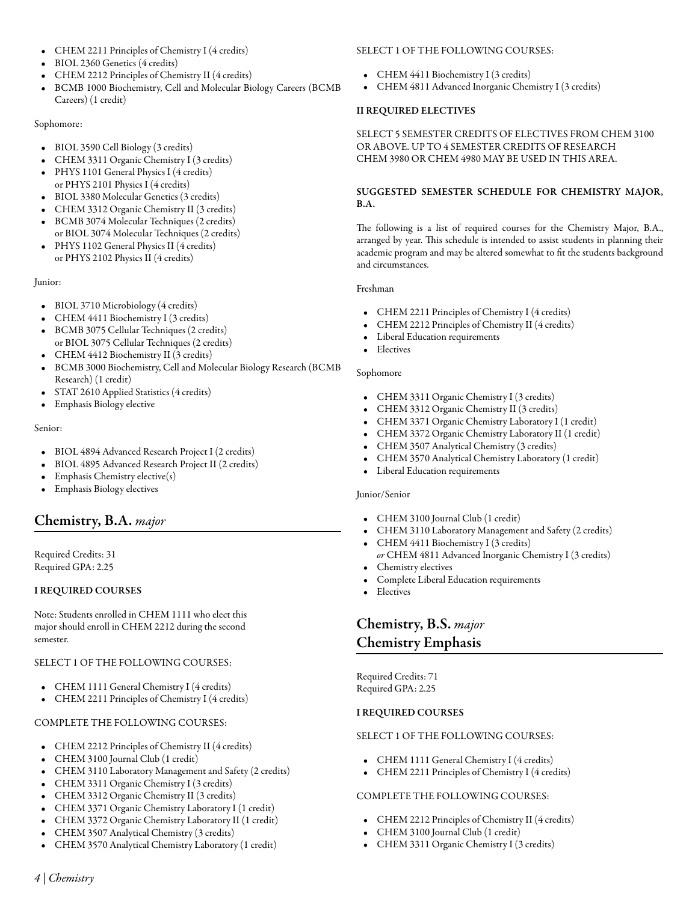- CHEM 2211 [Principles of Chemistry I](/academics/catalog/20223/courses/chem/2211) (4 credits)
- BIOL 2360 [Genetics](/academics/catalog/20223/courses/biol/2360) (4 credits)
- CHEM 2212 [Principles of Chemistry II](/academics/catalog/20223/courses/chem/2212) (4 credits)
- BCMB 1000 [Biochemistry, Cell and Molecular Biology Careers \(BCMB](/academics/catalog/20223/courses/bcmb/1000) [Careers\)](/academics/catalog/20223/courses/bcmb/1000) (1 credit)

# Sophomore:

- BIOL 3590 [Cell Biology](/academics/catalog/20223/courses/biol/3590) (3 credits)
- CHEM 3311 [Organic Chemistry I](/academics/catalog/20223/courses/chem/3311) (3 credits)
- PHYS 1101 [General Physics I](/academics/catalog/20223/courses/phys/1101) (4 credits) or PHYS 2101 [Physics I](/academics/catalog/20223/courses/phys/2101) (4 credits)
- BIOL 3380 [Molecular Genetics](/academics/catalog/20223/courses/biol/3380) (3 credits)
- CHEM 3312 [Organic Chemistry II](/academics/catalog/20223/courses/chem/3312) (3 credits)
- BCMB 3074 [Molecular Techniques](/academics/catalog/20223/courses/bcmb/3074) (2 credits) or BIOL 3074 [Molecular Techniques](/academics/catalog/20223/courses/biol/3074) (2 credits)
- PHYS 1102 [General Physics II](/academics/catalog/20223/courses/phys/1102) (4 credits) or PHYS 2102 [Physics II](/academics/catalog/20223/courses/phys/2102) (4 credits)

Junior:

- BIOL 3710 [Microbiology](/academics/catalog/20223/courses/biol/3710) (4 credits)
- CHEM 4411 [Biochemistry I](/academics/catalog/20223/courses/chem/4411) (3 credits) • BCMB 3075 [Cellular Techniques](/academics/catalog/20223/courses/bcmb/3075) (2 credits)
- or BIOL 3075 [Cellular Techniques](/academics/catalog/20223/courses/biol/3075) (2 credits)
- CHEM 4412 [Biochemistry II](/academics/catalog/20223/courses/chem/4412) (3 credits)
- BCMB 3000 [Biochemistry, Cell and Molecular Biology Research \(BCMB](/academics/catalog/20223/courses/bcmb/3000) [Research\)](/academics/catalog/20223/courses/bcmb/3000) (1 credit)
- STAT 2610 [Applied Statistics](/academics/catalog/20223/courses/stat/2610) (4 credits)
- Emphasis Biology elective

Senior:

- BIOL 4894 [Advanced Research Project I](/academics/catalog/20223/courses/biol/4894) (2 credits)
- BIOL 4895 [Advanced Research Project II](/academics/catalog/20223/courses/biol/4895) (2 credits)
- Emphasis Chemistry elective(s)
- Emphasis Biology electives

# Chemistry, B.A. *major*

Required Credits: 31 Required GPA: 2.25

# I REQUIRED COURSES

Note: Students enrolled in CHEM 1111 who elect this major should enroll in CHEM 2212 during the second semester.

# SELECT 1 OF THE FOLLOWING COURSES:

- CHEM 1111 [General Chemistry I](/academics/catalog/20223/courses/chem/1111) (4 credits)
- CHEM 2211 [Principles of Chemistry I](/academics/catalog/20223/courses/chem/2211) (4 credits)

# COMPLETE THE FOLLOWING COURSES:

- CHEM 2212 [Principles of Chemistry II](/academics/catalog/20223/courses/chem/2212) (4 credits)
- CHEM 3100 [Journal Club](/academics/catalog/20223/courses/chem/3100) (1 credit)
- CHEM 3110 [Laboratory Management and Safety](/academics/catalog/20223/courses/chem/3110) (2 credits)
- CHEM 3311 [Organic Chemistry I](/academics/catalog/20223/courses/chem/3311) (3 credits)
- CHEM 3312 [Organic Chemistry II](/academics/catalog/20223/courses/chem/3312) (3 credits)
- CHEM 3371 [Organic Chemistry Laboratory I](/academics/catalog/20223/courses/chem/3371) (1 credit)
- CHEM 3372 [Organic Chemistry Laboratory II](/academics/catalog/20223/courses/chem/3372) (1 credit)
- CHEM 3507 [Analytical Chemistry](/academics/catalog/20223/courses/chem/3507) (3 credits)
- CHEM 3570 [Analytical Chemistry Laboratory](/academics/catalog/20223/courses/chem/3570) (1 credit)

# SELECT 1 OF THE FOLLOWING COURSES:

- CHEM 4411 [Biochemistry I](/academics/catalog/20223/courses/chem/4411) (3 credits)
- CHEM 4811 [Advanced Inorganic Chemistry I](/academics/catalog/20223/courses/chem/4811) (3 credits)

# II REQUIRED ELECTIVES

# SELECT 5 SEMESTER CREDITS OF ELECTIVES FROM CHEM 3100 OR ABOVE. UP TO 4 SEMESTER CREDITS OF RESEARCH CHEM 3980 OR CHEM 4980 MAY BE USED IN THIS AREA.

# SUGGESTED SEMESTER SCHEDULE FOR CHEMISTRY MAJOR, B.A.

The following is a list of required courses for the Chemistry Major, B.A., arranged by year. This schedule is intended to assist students in planning their academic program and may be altered somewhat to fit the students background and circumstances.

# Freshman

- CHEM 2211 [Principles of Chemistry I](/academics/catalog/20223/courses/chem/2211) (4 credits)
- CHEM 2212 [Principles of Chemistry II](/academics/catalog/20223/courses/chem/2212) (4 credits)
- Liberal Education requirements
- **Electives**

# Sophomore

- CHEM 3311 [Organic Chemistry I](/academics/catalog/20223/courses/chem/3311) (3 credits)
- CHEM 3312 [Organic Chemistry II](/academics/catalog/20223/courses/chem/3312) (3 credits)
- CHEM 3371 [Organic Chemistry Laboratory I](/academics/catalog/20223/courses/chem/3371) (1 credit)
- CHEM 3372 [Organic Chemistry Laboratory II](/academics/catalog/20223/courses/chem/3372) (1 credit)
- CHEM 3507 [Analytical Chemistry](/academics/catalog/20223/courses/chem/3507) (3 credits)
- CHEM 3570 [Analytical Chemistry Laboratory](/academics/catalog/20223/courses/chem/3570) (1 credit)
- Liberal Education requirements

# Junior/Senior

- CHEM 3100 [Journal Club](/academics/catalog/20223/courses/chem/3100) (1 credit)
- CHEM 3110 [Laboratory Management and Safety](/academics/catalog/20223/courses/chem/3110) (2 credits)
- CHEM 4411 [Biochemistry I](/academics/catalog/20223/courses/chem/4411) (3 credits)
- *or* CHEM 4811 [Advanced Inorganic Chemistry I](/academics/catalog/20223/courses/chem/4811) (3 credits) • Chemistry electives
- Complete Liberal Education requirements
- Electives

# Chemistry, B.S. *major* Chemistry Emphasis

Required Credits: 71 Required GPA: 2.25

# I REQUIRED COURSES

# SELECT 1 OF THE FOLLOWING COURSES:

- CHEM 1111 [General Chemistry I](/academics/catalog/20223/courses/chem/1111) (4 credits)
- CHEM 2211 [Principles of Chemistry I](/academics/catalog/20223/courses/chem/2211) (4 credits)

# COMPLETE THE FOLLOWING COURSES:

- CHEM 2212 [Principles of Chemistry II](/academics/catalog/20223/courses/chem/2212) (4 credits)
- CHEM 3100 [Journal Club](/academics/catalog/20223/courses/chem/3100) (1 credit)
- CHEM 3311 [Organic Chemistry I](/academics/catalog/20223/courses/chem/3311) (3 credits)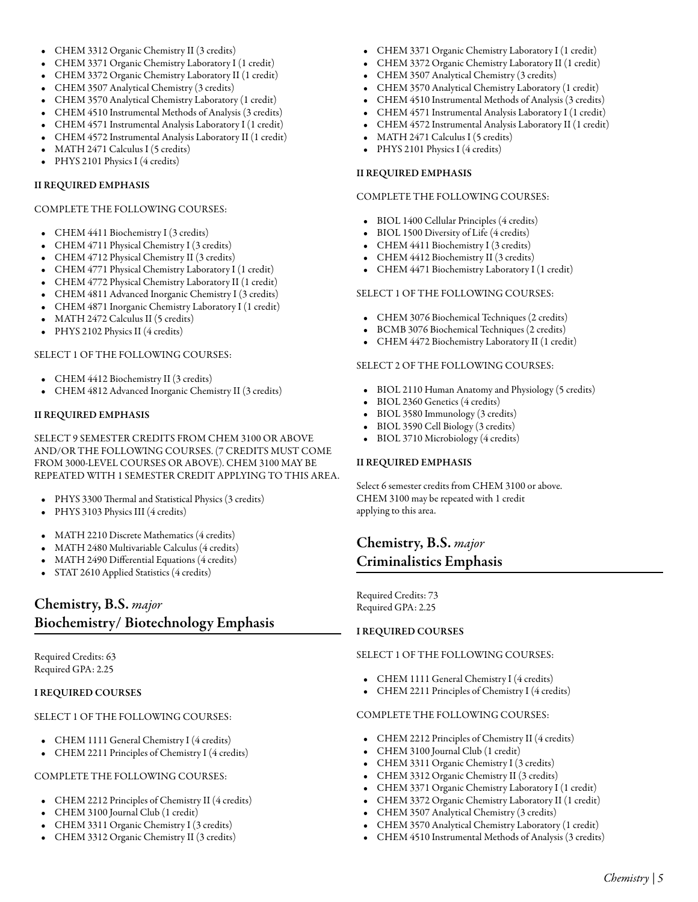## • CHEM 3312 [Organic Chemistry II](/academics/catalog/20223/courses/chem/3312) (3 credits)

- CHEM 3371 [Organic Chemistry Laboratory I](/academics/catalog/20223/courses/chem/3371) (1 credit)
- CHEM 3372 [Organic Chemistry Laboratory II](/academics/catalog/20223/courses/chem/3372) (1 credit)
- CHEM 3507 [Analytical Chemistry](/academics/catalog/20223/courses/chem/3507) (3 credits)
- CHEM 3570 [Analytical Chemistry Laboratory](/academics/catalog/20223/courses/chem/3570) (1 credit)
- CHEM 4510 [Instrumental Methods of Analysis](/academics/catalog/20223/courses/chem/4510) (3 credits)
- CHEM 4571 [Instrumental Analysis Laboratory I](/academics/catalog/20223/courses/chem/4571) (1 credit)
- CHEM 4572 [Instrumental Analysis Laboratory II](/academics/catalog/20223/courses/chem/4572) (1 credit)
- MATH 2471 [Calculus I](/academics/catalog/20223/courses/math/2471) (5 credits)
- PHYS 2101 [Physics I](/academics/catalog/20223/courses/phys/2101) (4 credits)

#### II REQUIRED EMPHASIS

#### COMPLETE THE FOLLOWING COURSES:

- CHEM 4411 [Biochemistry I](/academics/catalog/20223/courses/chem/4411) (3 credits)
- CHEM 4711 [Physical Chemistry I](/academics/catalog/20223/courses/chem/4711) (3 credits)
- CHEM 4712 [Physical Chemistry II](/academics/catalog/20223/courses/chem/4712) (3 credits)
- CHEM 4771 [Physical Chemistry Laboratory I](/academics/catalog/20223/courses/chem/4771) (1 credit)
- CHEM 4772 [Physical Chemistry Laboratory II](/academics/catalog/20223/courses/chem/4772) (1 credit)
- CHEM 4811 [Advanced Inorganic Chemistry I](/academics/catalog/20223/courses/chem/4811) (3 credits)
- CHEM 4871 [Inorganic Chemistry Laboratory I](/academics/catalog/20223/courses/chem/4871) (1 credit)
- MATH 2472 [Calculus II](/academics/catalog/20223/courses/math/2472) (5 credits)
- PHYS 2102 [Physics II](/academics/catalog/20223/courses/phys/2102) (4 credits)

### SELECT 1 OF THE FOLLOWING COURSES:

- CHEM 4412 [Biochemistry II](/academics/catalog/20223/courses/chem/4412) (3 credits)
- CHEM 4812 [Advanced Inorganic Chemistry II](/academics/catalog/20223/courses/chem/4812) (3 credits)

# II REQUIRED EMPHASIS

SELECT 9 SEMESTER CREDITS FROM CHEM 3100 OR ABOVE AND/OR THE FOLLOWING COURSES. (7 CREDITS MUST COME FROM 3000-LEVEL COURSES OR ABOVE). CHEM 3100 MAY BE REPEATED WITH 1 SEMESTER CREDIT APPLYING TO THIS AREA.

- PHYS 3300 [Thermal and Statistical Physics](/academics/catalog/20223/courses/phys/3300) (3 credits)
- PHYS 3103 [Physics III](/academics/catalog/20223/courses/phys/3103) (4 credits)
- MATH 2210 [Discrete Mathematics](/academics/catalog/20223/courses/math/2210) (4 credits)
- MATH 2480 [Multivariable Calculus](/academics/catalog/20223/courses/math/2480) (4 credits)
- MATH 2490 [Differential Equations](/academics/catalog/20223/courses/math/2490) (4 credits)
- STAT 2610 [Applied Statistics](/academics/catalog/20223/courses/stat/2610) (4 credits)

# Chemistry, B.S. *major* Biochemistry/ Biotechnology Emphasis

Required Credits: 63 Required GPA: 2.25

# I REQUIRED COURSES

# SELECT 1 OF THE FOLLOWING COURSES:

- CHEM 1111 [General Chemistry I](/academics/catalog/20223/courses/chem/1111) (4 credits)
- CHEM 2211 [Principles of Chemistry I](/academics/catalog/20223/courses/chem/2211) (4 credits)

## COMPLETE THE FOLLOWING COURSES:

- CHEM 2212 [Principles of Chemistry II](/academics/catalog/20223/courses/chem/2212) (4 credits)
- CHEM 3100 [Journal Club](/academics/catalog/20223/courses/chem/3100) (1 credit)
- CHEM 3311 [Organic Chemistry I](/academics/catalog/20223/courses/chem/3311) (3 credits)
- CHEM 3312 [Organic Chemistry II](/academics/catalog/20223/courses/chem/3312) (3 credits)
- CHEM 3371 [Organic Chemistry Laboratory I](/academics/catalog/20223/courses/chem/3371) (1 credit)
- CHEM 3372 [Organic Chemistry Laboratory II](/academics/catalog/20223/courses/chem/3372) (1 credit)
- CHEM 3507 [Analytical Chemistry](/academics/catalog/20223/courses/chem/3507) (3 credits)
- CHEM 3570 [Analytical Chemistry Laboratory](/academics/catalog/20223/courses/chem/3570) (1 credit)
- CHEM 4510 [Instrumental Methods of Analysis](/academics/catalog/20223/courses/chem/4510) (3 credits)
- CHEM 4571 [Instrumental Analysis Laboratory I](/academics/catalog/20223/courses/chem/4571) (1 credit)
- CHEM 4572 [Instrumental Analysis Laboratory II](/academics/catalog/20223/courses/chem/4572) (1 credit)
- MATH 2471 [Calculus I](/academics/catalog/20223/courses/math/2471) (5 credits)
- PHYS 2101 [Physics I](/academics/catalog/20223/courses/phys/2101) (4 credits)

### II REQUIRED EMPHASIS

#### COMPLETE THE FOLLOWING COURSES:

- BIOL 1400 [Cellular Principles](/academics/catalog/20223/courses/biol/1400) (4 credits)
- BIOL 1500 [Diversity of Life](/academics/catalog/20223/courses/biol/1500) (4 credits)
- CHEM 4411 [Biochemistry I](/academics/catalog/20223/courses/chem/4411) (3 credits)
- CHEM 4412 [Biochemistry II](/academics/catalog/20223/courses/chem/4412) (3 credits)
- CHEM 4471 [Biochemistry Laboratory I](/academics/catalog/20223/courses/chem/4471) (1 credit)

#### SELECT 1 OF THE FOLLOWING COURSES:

- CHEM 3076 [Biochemical Techniques](/academics/catalog/20223/courses/chem/3076) (2 credits)
- BCMB 3076 [Biochemical Techniques](/academics/catalog/20223/courses/bcmb/3076) (2 credits)
- CHEM 4472 [Biochemistry Laboratory II](/academics/catalog/20223/courses/chem/4472) (1 credit)

### SELECT 2 OF THE FOLLOWING COURSES:

- BIOL 2110 [Human Anatomy and Physiology](/academics/catalog/20223/courses/biol/2110) (5 credits)
- BIOL 2360 [Genetics](/academics/catalog/20223/courses/biol/2360) (4 credits)
- BIOL 3580 [Immunology](/academics/catalog/20223/courses/biol/3580) (3 credits)
- BIOL 3590 [Cell Biology](/academics/catalog/20223/courses/biol/3590) (3 credits)
- BIOL 3710 [Microbiology](/academics/catalog/20223/courses/biol/3710) (4 credits)

# II REQUIRED EMPHASIS

Select 6 semester credits from CHEM 3100 or above. CHEM 3100 may be repeated with 1 credit applying to this area.

# Chemistry, B.S. *major* Criminalistics Emphasis

Required Credits: 73 Required GPA: 2.25

# I REQUIRED COURSES

#### SELECT 1 OF THE FOLLOWING COURSES:

- CHEM 1111 [General Chemistry I](/academics/catalog/20223/courses/chem/1111) (4 credits)
- CHEM 2211 [Principles of Chemistry I](/academics/catalog/20223/courses/chem/2211) (4 credits)

## COMPLETE THE FOLLOWING COURSES:

- CHEM 2212 [Principles of Chemistry II](/academics/catalog/20223/courses/chem/2212) (4 credits)
- CHEM 3100 [Journal Club](/academics/catalog/20223/courses/chem/3100) (1 credit)
- CHEM 3311 [Organic Chemistry I](/academics/catalog/20223/courses/chem/3311) (3 credits)
- CHEM 3312 [Organic Chemistry II](/academics/catalog/20223/courses/chem/3312) (3 credits)
- CHEM 3371 [Organic Chemistry Laboratory I](/academics/catalog/20223/courses/chem/3371) (1 credit)
- CHEM 3372 [Organic Chemistry Laboratory II](/academics/catalog/20223/courses/chem/3372) (1 credit)
- CHEM 3507 [Analytical Chemistry](/academics/catalog/20223/courses/chem/3507) (3 credits)
- CHEM 3570 [Analytical Chemistry Laboratory](/academics/catalog/20223/courses/chem/3570) (1 credit)
- CHEM 4510 [Instrumental Methods of Analysis](/academics/catalog/20223/courses/chem/4510) (3 credits)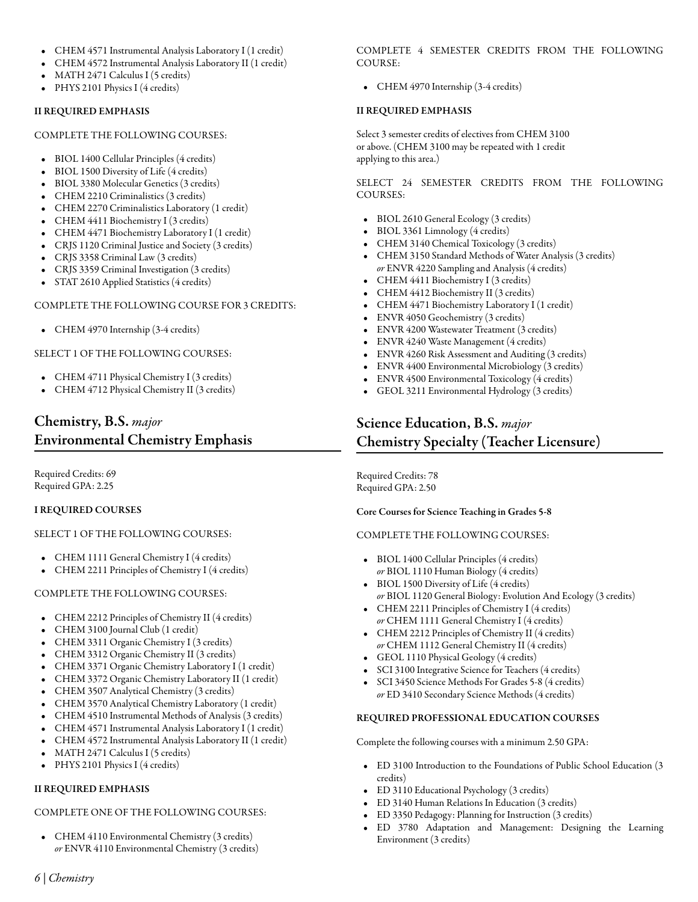- CHEM 4571 [Instrumental Analysis Laboratory I](/academics/catalog/20223/courses/chem/4571) (1 credit)
- CHEM 4572 [Instrumental Analysis Laboratory II](/academics/catalog/20223/courses/chem/4572) (1 credit)
- MATH 2471 [Calculus I](/academics/catalog/20223/courses/math/2471) (5 credits)
- PHYS 2101 [Physics I](/academics/catalog/20223/courses/phys/2101) (4 credits)

# II REQUIRED EMPHASIS

### COMPLETE THE FOLLOWING COURSES:

- BIOL 1400 [Cellular Principles](/academics/catalog/20223/courses/biol/1400) (4 credits)
- BIOL 1500 [Diversity of Life](/academics/catalog/20223/courses/biol/1500) (4 credits)
- BIOL 3380 [Molecular Genetics](/academics/catalog/20223/courses/biol/3380) (3 credits)
- CHEM 2210 [Criminalistics](/academics/catalog/20223/courses/chem/2210) (3 credits)
- CHEM 2270 [Criminalistics Laboratory](/academics/catalog/20223/courses/chem/2270) (1 credit)
- CHEM 4411 [Biochemistry I](/academics/catalog/20223/courses/chem/4411) (3 credits)
- CHEM 4471 [Biochemistry Laboratory I](/academics/catalog/20223/courses/chem/4471) (1 credit)
- CRJS 1120 [Criminal Justice and Society](/academics/catalog/20223/courses/crjs/1120) (3 credits)
- CRJS 3358 [Criminal Law](/academics/catalog/20223/courses/crjs/3358) (3 credits)
- CRJS 3359 [Criminal Investigation](/academics/catalog/20223/courses/crjs/3359) (3 credits)
- STAT 2610 [Applied Statistics](/academics/catalog/20223/courses/stat/2610) (4 credits)

# COMPLETE THE FOLLOWING COURSE FOR 3 CREDITS:

• CHEM 4970 [Internship](/academics/catalog/20223/courses/chem/4970) (3-4 credits)

# SELECT 1 OF THE FOLLOWING COURSES:

- CHEM 4711 [Physical Chemistry I](/academics/catalog/20223/courses/chem/4711) (3 credits)
- CHEM 4712 [Physical Chemistry II](/academics/catalog/20223/courses/chem/4712) (3 credits)

# Chemistry, B.S. *major* Environmental Chemistry Emphasis

Required Credits: 69 Required GPA: 2.25

# I REQUIRED COURSES

# SELECT 1 OF THE FOLLOWING COURSES:

- CHEM 1111 [General Chemistry I](/academics/catalog/20223/courses/chem/1111) (4 credits)
- CHEM 2211 [Principles of Chemistry I](/academics/catalog/20223/courses/chem/2211) (4 credits)

# COMPLETE THE FOLLOWING COURSES:

- CHEM 2212 [Principles of Chemistry II](/academics/catalog/20223/courses/chem/2212) (4 credits)
- CHEM 3100 [Journal Club](/academics/catalog/20223/courses/chem/3100) (1 credit)
- CHEM 3311 [Organic Chemistry I](/academics/catalog/20223/courses/chem/3311) (3 credits)
- CHEM 3312 [Organic Chemistry II](/academics/catalog/20223/courses/chem/3312) (3 credits)
- CHEM 3371 [Organic Chemistry Laboratory I](/academics/catalog/20223/courses/chem/3371) (1 credit)
- CHEM 3372 [Organic Chemistry Laboratory II](/academics/catalog/20223/courses/chem/3372) (1 credit)
- CHEM 3507 [Analytical Chemistry](/academics/catalog/20223/courses/chem/3507) (3 credits)
- CHEM 3570 [Analytical Chemistry Laboratory](/academics/catalog/20223/courses/chem/3570) (1 credit)
- CHEM 4510 [Instrumental Methods of Analysis](/academics/catalog/20223/courses/chem/4510) (3 credits)
- CHEM 4571 [Instrumental Analysis Laboratory I](/academics/catalog/20223/courses/chem/4571) (1 credit)
- CHEM 4572 [Instrumental Analysis Laboratory II](/academics/catalog/20223/courses/chem/4572) (1 credit)
- MATH 2471 [Calculus I](/academics/catalog/20223/courses/math/2471) (5 credits)
- PHYS 2101 [Physics I](/academics/catalog/20223/courses/phys/2101) (4 credits)

# II REQUIRED EMPHASIS

# COMPLETE ONE OF THE FOLLOWING COURSES:

• CHEM 4110 [Environmental Chemistry](/academics/catalog/20223/courses/chem/4110) (3 credits) *or* ENVR 4110 [Environmental Chemistry](/academics/catalog/20223/courses/envr/4110) (3 credits) COMPLETE 4 SEMESTER CREDITS FROM THE FOLLOWING COURSE:

• CHEM 4970 [Internship](/academics/catalog/20223/courses/chem/4970) (3-4 credits)

# II REQUIRED EMPHASIS

Select 3 semester credits of electives from CHEM 3100 or above. (CHEM 3100 may be repeated with 1 credit applying to this area.)

SELECT 24 SEMESTER CREDITS FROM THE FOLLOWING COURSES:

- BIOL 2610 [General Ecology](/academics/catalog/20223/courses/biol/2610) (3 credits)
- BIOL 3361 [Limnology](/academics/catalog/20223/courses/biol/3361) (4 credits)
- CHEM 3140 [Chemical Toxicology](/academics/catalog/20223/courses/chem/3140) (3 credits)
- CHEM 3150 [Standard Methods of Water Analysis](/academics/catalog/20223/courses/chem/3150) (3 credits) *or* ENVR 4220 [Sampling and Analysis](/academics/catalog/20223/courses/envr/4220) (4 credits)
- CHEM 4411 [Biochemistry I](/academics/catalog/20223/courses/chem/4411) (3 credits)
- CHEM 4412 [Biochemistry II](/academics/catalog/20223/courses/chem/4412) (3 credits)
- CHEM 4471 [Biochemistry Laboratory I](/academics/catalog/20223/courses/chem/4471) (1 credit)
- ENVR 4050 [Geochemistry](/academics/catalog/20223/courses/envr/4050) (3 credits)
- ENVR 4200 [Wastewater Treatment](/academics/catalog/20223/courses/envr/4200) (3 credits)
- ENVR 4240 [Waste Management](/academics/catalog/20223/courses/envr/4240) (4 credits)
- ENVR 4260 [Risk Assessment and Auditing](/academics/catalog/20223/courses/envr/4260) (3 credits)
- ENVR 4400 [Environmental Microbiology](/academics/catalog/20223/courses/envr/4400) (3 credits)
- ENVR 4500 [Environmental Toxicology](/academics/catalog/20223/courses/envr/4500) (4 credits)
- GEOL 3211 [Environmental Hydrology](/academics/catalog/20223/courses/geol/3211) (3 credits)

# Science Education, B.S. *major* Chemistry Specialty (Teacher Licensure)

Required Credits: 78 Required GPA: 2.50

# Core Courses for Science Teaching in Grades 5-8

#### COMPLETE THE FOLLOWING COURSES:

- BIOL 1400 [Cellular Principles](/academics/catalog/20223/courses/biol/1400) (4 credits) *or* BIOL 1110 [Human Biology](/academics/catalog/20223/courses/biol/1110) (4 credits)
- BIOL 1500 [Diversity of Life](/academics/catalog/20223/courses/biol/1500) (4 credits) *or* BIOL 1120 [General Biology: Evolution And Ecology](/academics/catalog/20223/courses/biol/1120) (3 credits)
- CHEM 2211 [Principles of Chemistry I](/academics/catalog/20223/courses/chem/2211) (4 credits) *or* CHEM 1111 [General Chemistry I](/academics/catalog/20223/courses/chem/1111) (4 credits)
- CHEM 2212 [Principles of Chemistry II](/academics/catalog/20223/courses/chem/2212) (4 credits) *or* CHEM 1112 [General Chemistry II](/academics/catalog/20223/courses/chem/1112) (4 credits)
- GEOL 1110 [Physical Geology](/academics/catalog/20223/courses/geol/1110) (4 credits)
- SCI 3100 [Integrative Science for Teachers](/academics/catalog/20223/courses/sci/3100) (4 credits)
- SCI 3450 [Science Methods For Grades 5-8](/academics/catalog/20223/courses/sci/3450) (4 credits) *or* ED 3410 [Secondary Science Methods](/academics/catalog/20223/courses/ed/3410) (4 credits)

# REQUIRED PROFESSIONAL EDUCATION COURSES

Complete the following courses with a minimum 2.50 GPA:

- ED 3100 [Introduction to the Foundations of Public School Education](/academics/catalog/20223/courses/ed/3100) (3 credits)
- ED 3110 [Educational Psychology](/academics/catalog/20223/courses/ed/3110) (3 credits)
- ED 3140 [Human Relations In Education](/academics/catalog/20223/courses/ed/3140) (3 credits)
- ED 3350 [Pedagogy: Planning for Instruction](/academics/catalog/20223/courses/ed/3350) (3 credits)
- ED 3780 [Adaptation and Management: Designing the Learning](/academics/catalog/20223/courses/ed/3780) [Environment](/academics/catalog/20223/courses/ed/3780) (3 credits)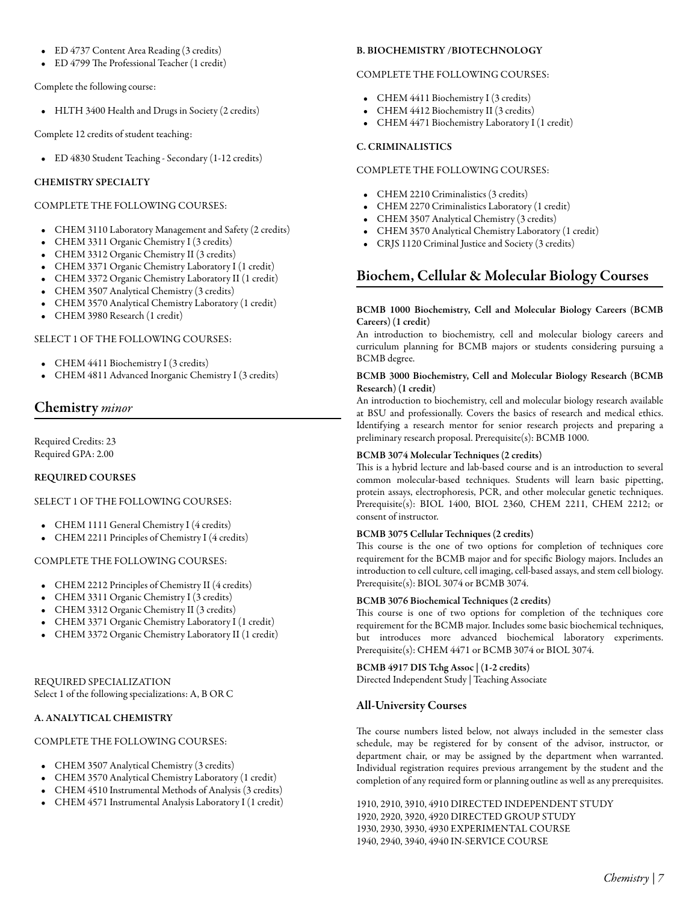- ED 4737 [Content Area Reading](/academics/catalog/20223/courses/ed/4737) (3 credits)
- ED 4799 [The Professional Teacher](/academics/catalog/20223/courses/ed/4799) (1 credit)

Complete the following course:

• HLTH 3400 [Health and Drugs in Society](/academics/catalog/20223/courses/hlth/3400) (2 credits)

Complete 12 credits of student teaching:

• ED 4830 [Student Teaching - Secondary](/academics/catalog/20223/courses/ed/4830) (1-12 credits)

# CHEMISTRY SPECIALTY

# COMPLETE THE FOLLOWING COURSES:

- CHEM 3110 [Laboratory Management and Safety](/academics/catalog/20223/courses/chem/3110) (2 credits)
- CHEM 3311 [Organic Chemistry I](/academics/catalog/20223/courses/chem/3311) (3 credits)
- CHEM 3312 [Organic Chemistry II](/academics/catalog/20223/courses/chem/3312) (3 credits)
- CHEM 3371 [Organic Chemistry Laboratory I](/academics/catalog/20223/courses/chem/3371) (1 credit)
- CHEM 3372 [Organic Chemistry Laboratory II](/academics/catalog/20223/courses/chem/3372) (1 credit)
- CHEM 3507 [Analytical Chemistry](/academics/catalog/20223/courses/chem/3507) (3 credits)
- CHEM 3570 [Analytical Chemistry Laboratory](/academics/catalog/20223/courses/chem/3570) (1 credit)
- CHEM 3980 [Research](/academics/catalog/20223/courses/chem/3980) (1 credit)

# SELECT 1 OF THE FOLLOWING COURSES:

- CHEM 4411 [Biochemistry I](/academics/catalog/20223/courses/chem/4411) (3 credits)
- CHEM 4811 [Advanced Inorganic Chemistry I](/academics/catalog/20223/courses/chem/4811) (3 credits)

# Chemistry *minor*

Required Credits: 23 Required GPA: 2.00

# REQUIRED COURSES

# SELECT 1 OF THE FOLLOWING COURSES:

- CHEM 1111 [General Chemistry I](/academics/catalog/20223/courses/chem/1111) (4 credits)
- CHEM 2211 [Principles of Chemistry I](/academics/catalog/20223/courses/chem/2211) (4 credits)

# COMPLETE THE FOLLOWING COURSES:

- CHEM 2212 [Principles of Chemistry II](/academics/catalog/20223/courses/chem/2212) (4 credits)
- CHEM 3311 [Organic Chemistry I](/academics/catalog/20223/courses/chem/3311) (3 credits)
- CHEM 3312 [Organic Chemistry II](/academics/catalog/20223/courses/chem/3312) (3 credits)
- CHEM 3371 [Organic Chemistry Laboratory I](/academics/catalog/20223/courses/chem/3371) (1 credit)
- CHEM 3372 [Organic Chemistry Laboratory II](/academics/catalog/20223/courses/chem/3372) (1 credit)

# REQUIRED SPECIALIZATION Select 1 of the following specializations: A, B OR C

# A. ANALYTICAL CHEMISTRY

# COMPLETE THE FOLLOWING COURSES:

- CHEM 3507 [Analytical Chemistry](/academics/catalog/20223/courses/chem/3507) (3 credits)
- CHEM 3570 [Analytical Chemistry Laboratory](/academics/catalog/20223/courses/chem/3570) (1 credit)
- CHEM 4510 [Instrumental Methods of Analysis](/academics/catalog/20223/courses/chem/4510) (3 credits)
- CHEM 4571 [Instrumental Analysis Laboratory I](/academics/catalog/20223/courses/chem/4571) (1 credit)

# B. BIOCHEMISTRY /BIOTECHNOLOGY

# COMPLETE THE FOLLOWING COURSES:

- CHEM 4411 [Biochemistry I](/academics/catalog/20223/courses/chem/4411) (3 credits)
- CHEM 4412 [Biochemistry II](/academics/catalog/20223/courses/chem/4412) (3 credits)
- CHEM 4471 [Biochemistry Laboratory I](/academics/catalog/20223/courses/chem/4471) (1 credit)

# C. CRIMINALISTICS

# COMPLETE THE FOLLOWING COURSES:

- CHEM 2210 [Criminalistics](/academics/catalog/20223/courses/chem/2210) (3 credits)
- CHEM 2270 [Criminalistics Laboratory](/academics/catalog/20223/courses/chem/2270) (1 credit)
- CHEM 3507 [Analytical Chemistry](/academics/catalog/20223/courses/chem/3507) (3 credits)
- CHEM 3570 [Analytical Chemistry Laboratory](/academics/catalog/20223/courses/chem/3570) (1 credit)
- CRJS 1120 [Criminal Justice and Society](/academics/catalog/20223/courses/crjs/1120) (3 credits)

# Biochem, Cellular & Molecular Biology Courses

# BCMB 1000 Biochemistry, Cell and Molecular Biology Careers (BCMB Careers) (1 credit)

An introduction to biochemistry, cell and molecular biology careers and curriculum planning for BCMB majors or students considering pursuing a BCMB degree.

# BCMB 3000 Biochemistry, Cell and Molecular Biology Research (BCMB Research) (1 credit)

An introduction to biochemistry, cell and molecular biology research available at BSU and professionally. Covers the basics of research and medical ethics. Identifying a research mentor for senior research projects and preparing a preliminary research proposal. Prerequisite(s): BCMB 1000.

# BCMB 3074 Molecular Techniques (2 credits)

This is a hybrid lecture and lab-based course and is an introduction to several common molecular-based techniques. Students will learn basic pipetting, protein assays, electrophoresis, PCR, and other molecular genetic techniques. Prerequisite(s): BIOL 1400, BIOL 2360, CHEM 2211, CHEM 2212; or consent of instructor.

# BCMB 3075 Cellular Techniques (2 credits)

This course is the one of two options for completion of techniques core requirement for the BCMB major and for specific Biology majors. Includes an introduction to cell culture, cell imaging, cell-based assays, and stem cell biology. Prerequisite(s): BIOL 3074 or BCMB 3074.

# BCMB 3076 Biochemical Techniques (2 credits)

This course is one of two options for completion of the techniques core requirement for the BCMB major. Includes some basic biochemical techniques, but introduces more advanced biochemical laboratory experiments. Prerequisite(s): CHEM 4471 or BCMB 3074 or BIOL 3074.

# BCMB 4917 DIS Tchg Assoc | (1-2 credits)

Directed Independent Study | Teaching Associate

# All-University Courses

The course numbers listed below, not always included in the semester class schedule, may be registered for by consent of the advisor, instructor, or department chair, or may be assigned by the department when warranted. Individual registration requires previous arrangement by the student and the completion of any required form or planning outline as well as any prerequisites.

1910, 2910, 3910, 4910 DIRECTED INDEPENDENT STUDY 1920, 2920, 3920, 4920 DIRECTED GROUP STUDY 1930, 2930, 3930, 4930 EXPERIMENTAL COURSE 1940, 2940, 3940, 4940 IN-SERVICE COURSE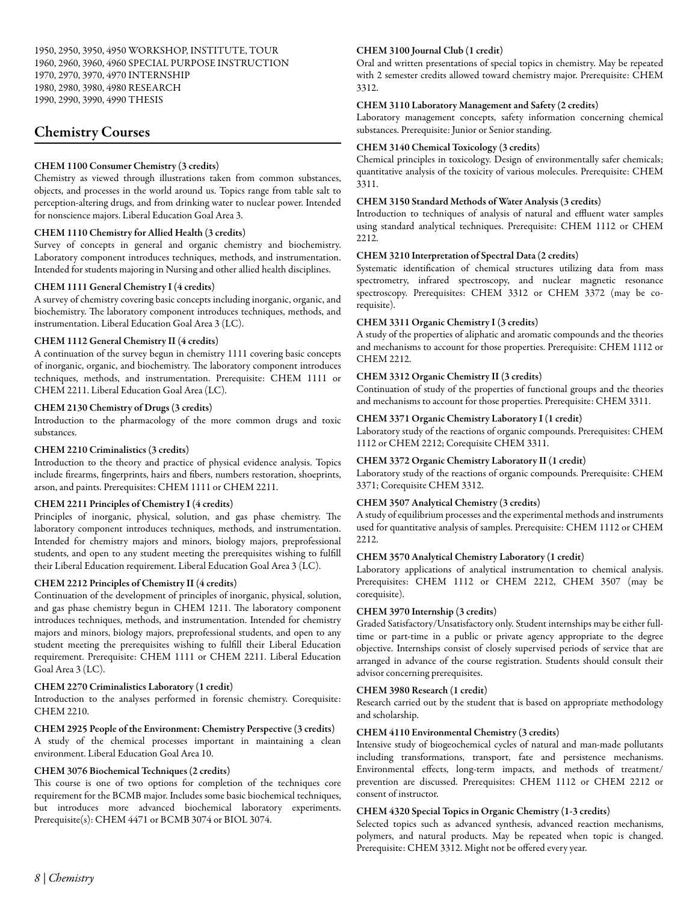# Chemistry Courses

# CHEM 1100 Consumer Chemistry (3 credits)

Chemistry as viewed through illustrations taken from common substances, objects, and processes in the world around us. Topics range from table salt to perception-altering drugs, and from drinking water to nuclear power. Intended for nonscience majors. Liberal Education Goal Area 3.

# CHEM 1110 Chemistry for Allied Health (3 credits)

Survey of concepts in general and organic chemistry and biochemistry. Laboratory component introduces techniques, methods, and instrumentation. Intended for students majoring in Nursing and other allied health disciplines.

# CHEM 1111 General Chemistry I (4 credits)

A survey of chemistry covering basic concepts including inorganic, organic, and biochemistry. The laboratory component introduces techniques, methods, and instrumentation. Liberal Education Goal Area 3 (LC).

# CHEM 1112 General Chemistry II (4 credits)

A continuation of the survey begun in chemistry 1111 covering basic concepts of inorganic, organic, and biochemistry. The laboratory component introduces techniques, methods, and instrumentation. Prerequisite: CHEM 1111 or CHEM 2211. Liberal Education Goal Area (LC).

# CHEM 2130 Chemistry of Drugs (3 credits)

Introduction to the pharmacology of the more common drugs and toxic substances.

# CHEM 2210 Criminalistics (3 credits)

Introduction to the theory and practice of physical evidence analysis. Topics include firearms, fingerprints, hairs and fibers, numbers restoration, shoeprints, arson, and paints. Prerequisites: CHEM 1111 or CHEM 2211.

# CHEM 2211 Principles of Chemistry I (4 credits)

Principles of inorganic, physical, solution, and gas phase chemistry. The laboratory component introduces techniques, methods, and instrumentation. Intended for chemistry majors and minors, biology majors, preprofessional students, and open to any student meeting the prerequisites wishing to fulfill their Liberal Education requirement. Liberal Education Goal Area 3 (LC).

# CHEM 2212 Principles of Chemistry II (4 credits)

Continuation of the development of principles of inorganic, physical, solution, and gas phase chemistry begun in CHEM 1211. The laboratory component introduces techniques, methods, and instrumentation. Intended for chemistry majors and minors, biology majors, preprofessional students, and open to any student meeting the prerequisites wishing to fulfill their Liberal Education requirement. Prerequisite: CHEM 1111 or CHEM 2211. Liberal Education Goal Area 3 (LC).

# CHEM 2270 Criminalistics Laboratory (1 credit)

Introduction to the analyses performed in forensic chemistry. Corequisite: CHEM 2210.

# CHEM 2925 People of the Environment: Chemistry Perspective (3 credits)

A study of the chemical processes important in maintaining a clean environment. Liberal Education Goal Area 10.

# CHEM 3076 Biochemical Techniques (2 credits)

This course is one of two options for completion of the techniques core requirement for the BCMB major. Includes some basic biochemical techniques, but introduces more advanced biochemical laboratory experiments. Prerequisite(s): CHEM 4471 or BCMB 3074 or BIOL 3074.

# CHEM 3100 Journal Club (1 credit)

Oral and written presentations of special topics in chemistry. May be repeated with 2 semester credits allowed toward chemistry major. Prerequisite: CHEM 3312.

# CHEM 3110 Laboratory Management and Safety (2 credits)

Laboratory management concepts, safety information concerning chemical substances. Prerequisite: Junior or Senior standing.

# CHEM 3140 Chemical Toxicology (3 credits)

Chemical principles in toxicology. Design of environmentally safer chemicals; quantitative analysis of the toxicity of various molecules. Prerequisite: CHEM 3311.

# CHEM 3150 Standard Methods of Water Analysis (3 credits)

Introduction to techniques of analysis of natural and effluent water samples using standard analytical techniques. Prerequisite: CHEM 1112 or CHEM 2212.

# CHEM 3210 Interpretation of Spectral Data (2 credits)

Systematic identification of chemical structures utilizing data from mass spectrometry, infrared spectroscopy, and nuclear magnetic resonance spectroscopy. Prerequisites: CHEM 3312 or CHEM 3372 (may be corequisite).

# CHEM 3311 Organic Chemistry I (3 credits)

A study of the properties of aliphatic and aromatic compounds and the theories and mechanisms to account for those properties. Prerequisite: CHEM 1112 or CHEM 2212.

# CHEM 3312 Organic Chemistry II (3 credits)

Continuation of study of the properties of functional groups and the theories and mechanisms to account for those properties. Prerequisite: CHEM 3311.

# CHEM 3371 Organic Chemistry Laboratory I (1 credit)

Laboratory study of the reactions of organic compounds. Prerequisites: CHEM 1112 or CHEM 2212; Corequisite CHEM 3311.

# CHEM 3372 Organic Chemistry Laboratory II (1 credit)

Laboratory study of the reactions of organic compounds. Prerequisite: CHEM 3371; Corequisite CHEM 3312.

# CHEM 3507 Analytical Chemistry (3 credits)

A study of equilibrium processes and the experimental methods and instruments used for quantitative analysis of samples. Prerequisite: CHEM 1112 or CHEM 2212.

# CHEM 3570 Analytical Chemistry Laboratory (1 credit)

Laboratory applications of analytical instrumentation to chemical analysis. Prerequisites: CHEM 1112 or CHEM 2212, CHEM 3507 (may be corequisite).

# CHEM 3970 Internship (3 credits)

Graded Satisfactory/Unsatisfactory only. Student internships may be either fulltime or part-time in a public or private agency appropriate to the degree objective. Internships consist of closely supervised periods of service that are arranged in advance of the course registration. Students should consult their advisor concerning prerequisites.

# CHEM 3980 Research (1 credit)

Research carried out by the student that is based on appropriate methodology and scholarship.

# CHEM 4110 Environmental Chemistry (3 credits)

Intensive study of biogeochemical cycles of natural and man-made pollutants including transformations, transport, fate and persistence mechanisms. Environmental effects, long-term impacts, and methods of treatment/ prevention are discussed. Prerequisites: CHEM 1112 or CHEM 2212 or consent of instructor.

# CHEM 4320 Special Topics in Organic Chemistry (1-3 credits)

Selected topics such as advanced synthesis, advanced reaction mechanisms, polymers, and natural products. May be repeated when topic is changed. Prerequisite: CHEM 3312. Might not be offered every year.